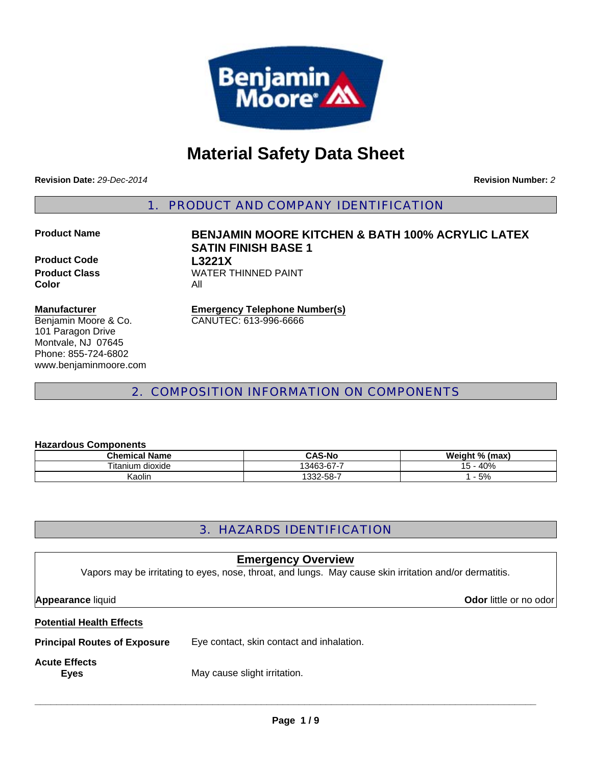

# **Material Safety Data Sheet**

**Revision Date:** *29-Dec-2014*

**Revision Number:** *2*

1. PRODUCT AND COMPANY IDENTIFICATION

**Product Code L3221X Color** All

# **Product Name BENJAMIN MOORE KITCHEN & BATH 100% ACRYLIC LATEX SATIN FINISH BASE 1 Product Class WATER THINNED PAINT**

#### **Manufacturer**

Benjamin Moore & Co. 101 Paragon Drive Montvale, NJ 07645 Phone: 855-724-6802 www.benjaminmoore.com

**Emergency Telephone Number(s)** CANUTEC: 613-996-6666

2. COMPOSITION INFORMATION ON COMPONENTS

#### **Hazardous Components**

| <b>Chemical Name</b> | <b>CAS-No</b> | Weight % (max) |
|----------------------|---------------|----------------|
| Titanium dioxide     | 13463-67-7    | $-40%$         |
| Kaolin               | 332-58-       | 5%             |

# 3. HAZARDS IDENTIFICATION

### **Emergency Overview**

Vapors may be irritating to eyes, nose, throat, and lungs. May cause skin irritation and/or dermatitis.

**Appearance** liquid **Odor** little or no odor

#### **Potential Health Effects**

**Principal Routes of Exposure** Eye contact, skin contact and inhalation.

# **Acute Effects**

**Eyes** May cause slight irritation.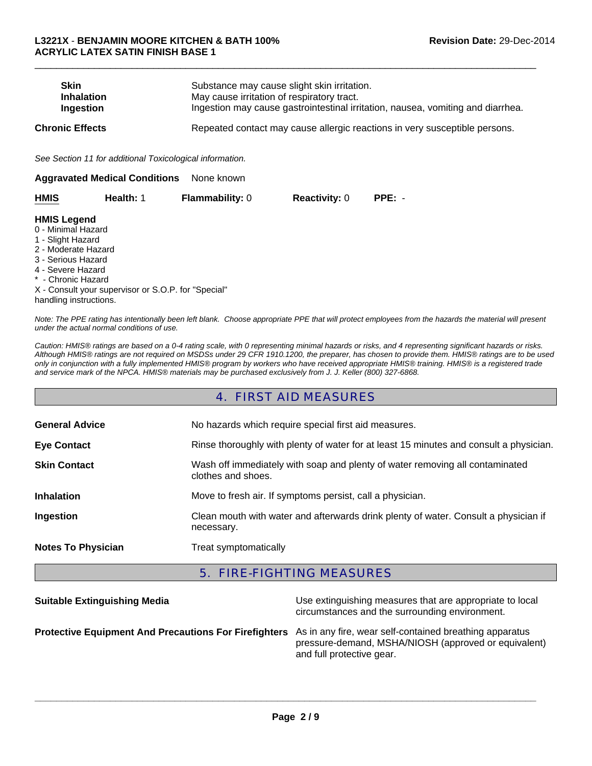| <b>Skin</b><br><b>Inhalation</b><br>Ingestion                                                                                                                                   |                                                          | Substance may cause slight skin irritation.<br>May cause irritation of respiratory tract. |                      | Ingestion may cause gastrointestinal irritation, nausea, vomiting and diarrhea. |
|---------------------------------------------------------------------------------------------------------------------------------------------------------------------------------|----------------------------------------------------------|-------------------------------------------------------------------------------------------|----------------------|---------------------------------------------------------------------------------|
| <b>Chronic Effects</b>                                                                                                                                                          |                                                          |                                                                                           |                      | Repeated contact may cause allergic reactions in very susceptible persons.      |
|                                                                                                                                                                                 | See Section 11 for additional Toxicological information. |                                                                                           |                      |                                                                                 |
|                                                                                                                                                                                 | <b>Aggravated Medical Conditions</b>                     | None known                                                                                |                      |                                                                                 |
| HMIS                                                                                                                                                                            | Health: 1                                                | <b>Flammability: 0</b>                                                                    | <b>Reactivity: 0</b> | $PPE: -$                                                                        |
| <b>HMIS Legend</b><br>0 - Minimal Hazard<br>1 - Slight Hazard<br>2 - Moderate Hazard<br>3 - Serious Hazard<br>4 - Severe Hazard<br>* - Chronic Hazard<br>handling instructions. | X - Consult your supervisor or S.O.P. for "Special"      |                                                                                           |                      |                                                                                 |

 $\Box$ 

*Note: The PPE rating has intentionally been left blank. Choose appropriate PPE that will protect employees from the hazards the material will present under the actual normal conditions of use.*

*Caution: HMIS® ratings are based on a 0-4 rating scale, with 0 representing minimal hazards or risks, and 4 representing significant hazards or risks. Although HMIS® ratings are not required on MSDSs under 29 CFR 1910.1200, the preparer, has chosen to provide them. HMIS® ratings are to be used only in conjunction with a fully implemented HMIS® program by workers who have received appropriate HMIS® training. HMIS® is a registered trade and service mark of the NPCA. HMIS® materials may be purchased exclusively from J. J. Keller (800) 327-6868.*

#### 4. FIRST AID MEASURES

| <b>General Advice</b>     | No hazards which require special first aid measures.                                               |
|---------------------------|----------------------------------------------------------------------------------------------------|
| <b>Eye Contact</b>        | Rinse thoroughly with plenty of water for at least 15 minutes and consult a physician.             |
| <b>Skin Contact</b>       | Wash off immediately with soap and plenty of water removing all contaminated<br>clothes and shoes. |
| <b>Inhalation</b>         | Move to fresh air. If symptoms persist, call a physician.                                          |
| Ingestion                 | Clean mouth with water and afterwards drink plenty of water. Consult a physician if<br>necessary.  |
| <b>Notes To Physician</b> | Treat symptomatically                                                                              |

#### 5. FIRE-FIGHTING MEASURES

| <b>Suitable Extinguishing Media</b>                                                                                  | Use extinguishing measures that are appropriate to local<br>circumstances and the surrounding environment. |
|----------------------------------------------------------------------------------------------------------------------|------------------------------------------------------------------------------------------------------------|
| <b>Protective Equipment And Precautions For Firefighters</b> As in any fire, wear self-contained breathing apparatus | pressure-demand, MSHA/NIOSH (approved or equivalent)<br>and full protective gear.                          |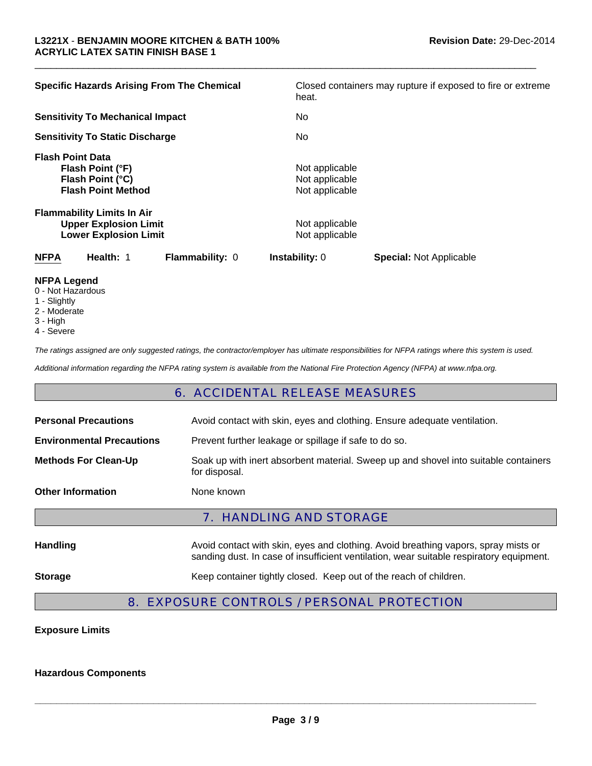| <b>Specific Hazards Arising From The Chemical</b>                                                 | Closed containers may rupture if exposed to fire or extreme<br>heat. |  |
|---------------------------------------------------------------------------------------------------|----------------------------------------------------------------------|--|
| <b>Sensitivity To Mechanical Impact</b>                                                           | No.                                                                  |  |
| <b>Sensitivity To Static Discharge</b>                                                            | No.                                                                  |  |
| <b>Flash Point Data</b><br>Flash Point (°F)<br>Flash Point (°C)<br><b>Flash Point Method</b>      | Not applicable<br>Not applicable<br>Not applicable                   |  |
| <b>Flammability Limits In Air</b><br><b>Upper Explosion Limit</b><br><b>Lower Explosion Limit</b> | Not applicable<br>Not applicable                                     |  |
| <b>NFPA</b><br>Health: 1<br><b>Flammability: 0</b>                                                | <b>Instability: 0</b><br><b>Special: Not Applicable</b>              |  |

 $\Box$ 

#### **NFPA Legend**

- 0 Not Hazardous
- 1 Slightly
- 2 Moderate
- 3 High
- 4 Severe

*The ratings assigned are only suggested ratings, the contractor/employer has ultimate responsibilities for NFPA ratings where this system is used.*

*Additional information regarding the NFPA rating system is available from the National Fire Protection Agency (NFPA) at www.nfpa.org.*

#### 6. ACCIDENTAL RELEASE MEASURES

| <b>Personal Precautions</b>      | Avoid contact with skin, eyes and clothing. Ensure adequate ventilation.                                                                                                      |
|----------------------------------|-------------------------------------------------------------------------------------------------------------------------------------------------------------------------------|
| <b>Environmental Precautions</b> | Prevent further leakage or spillage if safe to do so.                                                                                                                         |
| <b>Methods For Clean-Up</b>      | Soak up with inert absorbent material. Sweep up and shovel into suitable containers<br>for disposal.                                                                          |
| <b>Other Information</b>         | None known                                                                                                                                                                    |
|                                  | <b>7. HANDLING AND STORAGE</b>                                                                                                                                                |
| <b>Handling</b>                  | Avoid contact with skin, eyes and clothing. Avoid breathing vapors, spray mists or<br>sanding dust. In case of insufficient ventilation, wear suitable respiratory equipment. |
| <b>Storage</b>                   | Keep container tightly closed. Keep out of the reach of children.                                                                                                             |

### 8. EXPOSURE CONTROLS / PERSONAL PROTECTION

#### **Exposure Limits**

#### **Hazardous Components**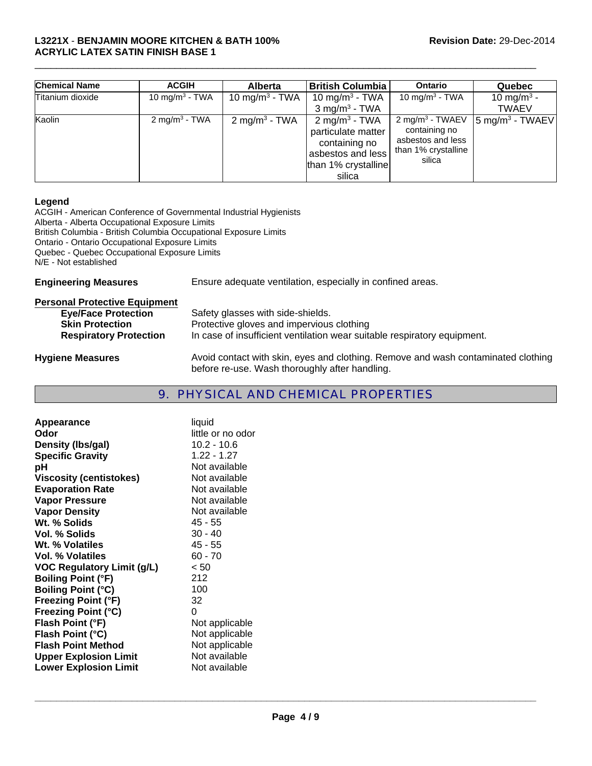#### **L3221X** - **BENJAMIN MOORE KITCHEN & BATH 100% Revision Date:** 29-Dec-2014 **ACRYLIC LATEX SATIN FINISH BASE 1**

| <b>Chemical Name</b> | <b>ACGIH</b>               | <b>Alberta</b>             | <b>British Columbia</b>                                                                                                | <b>Ontario</b>                                                                                     | Quebec                                  |
|----------------------|----------------------------|----------------------------|------------------------------------------------------------------------------------------------------------------------|----------------------------------------------------------------------------------------------------|-----------------------------------------|
| Titanium dioxide     | 10 mg/m <sup>3</sup> - TWA | 10 mg/m <sup>3</sup> - TWA | 10 mg/m <sup>3</sup> - TWA<br>$3$ mg/m <sup>3</sup> - TWA                                                              | 10 mg/m <sup>3</sup> - TWA                                                                         | 10 mg/m <sup>3</sup> -<br><b>TWAEV</b>  |
| Kaolin               | 2 mg/m <sup>3</sup> - TWA  | 2 mg/m <sup>3</sup> - TWA  | 2 mg/m <sup>3</sup> - TWA<br>particulate matter<br>containing no<br>asbestos and less<br>than 1% crystalline<br>silica | 2 mg/m <sup>3</sup> - TWAEV<br>containing no<br>asbestos and less<br>than 1% crystalline<br>silica | $\frac{1}{2}$ mg/m <sup>3</sup> - TWAEV |

 $\Box$ 

#### **Legend**

ACGIH - American Conference of Governmental Industrial Hygienists Alberta - Alberta Occupational Exposure Limits British Columbia - British Columbia Occupational Exposure Limits Ontario - Ontario Occupational Exposure Limits Quebec - Quebec Occupational Exposure Limits N/E - Not established

| <b>Engineering Measures</b>          | Ensure adequate ventilation, especially in confined areas.                        |
|--------------------------------------|-----------------------------------------------------------------------------------|
| <b>Personal Protective Equipment</b> |                                                                                   |
| <b>Eye/Face Protection</b>           | Safety glasses with side-shields.                                                 |
| <b>Skin Protection</b>               | Protective gloves and impervious clothing                                         |
| <b>Respiratory Protection</b>        | In case of insufficient ventilation wear suitable respiratory equipment.          |
| <b>Hygiene Measures</b>              | Avoid contact with skin, eyes and clothing. Remove and wash contaminated clothing |

# 9. PHYSICAL AND CHEMICAL PROPERTIES

before re-use. Wash thoroughly after handling.

| Appearance<br>Odor                | liquid<br>little or no odor |
|-----------------------------------|-----------------------------|
|                                   | 10.2 - 10.6                 |
| Density (Ibs/gal)                 | 1.22 - 1.27                 |
| <b>Specific Gravity</b>           |                             |
| рH                                | Not available               |
| <b>Viscosity (centistokes)</b>    | Not available               |
| <b>Evaporation Rate</b>           | Not available               |
| <b>Vapor Pressure</b>             | Not available               |
| <b>Vapor Density</b>              | Not available               |
| Wt. % Solids                      | 45 - 55                     |
| <b>Vol. % Solids</b>              | $30 - 40$                   |
| Wt. % Volatiles                   | 45 - 55                     |
| Vol. % Volatiles                  | $60 - 70$                   |
| <b>VOC Regulatory Limit (g/L)</b> | < 50                        |
| <b>Boiling Point (°F)</b>         | 212                         |
| <b>Boiling Point (°C)</b>         | 100                         |
| <b>Freezing Point (°F)</b>        | 32                          |
| <b>Freezing Point (°C)</b>        | 0                           |
| Flash Point (°F)                  | Not applicable              |
| Flash Point (°C)                  | Not applicable              |
| <b>Flash Point Method</b>         | Not applicable              |
| <b>Upper Explosion Limit</b>      | Not available               |
| <b>Lower Explosion Limit</b>      | Not available               |
|                                   |                             |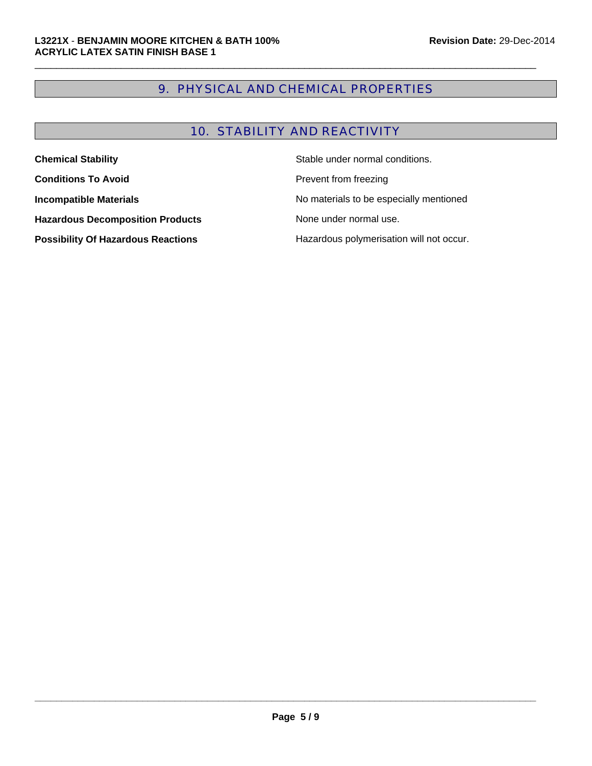# 9. PHYSICAL AND CHEMICAL PROPERTIES

 $\Box$ 

# 10. STABILITY AND REACTIVITY

| <b>Chemical Stability</b>                 | Stable under normal conditions.          |
|-------------------------------------------|------------------------------------------|
| <b>Conditions To Avoid</b>                | Prevent from freezing                    |
| <b>Incompatible Materials</b>             | No materials to be especially mentioned  |
| <b>Hazardous Decomposition Products</b>   | None under normal use.                   |
| <b>Possibility Of Hazardous Reactions</b> | Hazardous polymerisation will not occur. |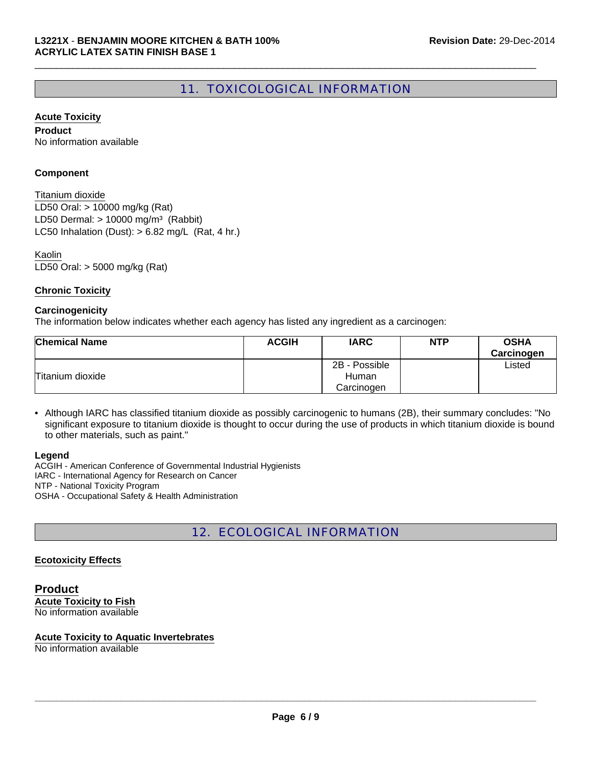# 11. TOXICOLOGICAL INFORMATION

 $\Box$ 

#### **Acute Toxicity**

**Product** No information available

#### **Component**

LD50 Oral: > 10000 mg/kg (Rat) LD50 Dermal:  $> 10000$  mg/m<sup>3</sup> (Rabbit) Titanium dioxide LC50 Inhalation (Dust):  $> 6.82$  mg/L (Rat, 4 hr.)

LD50 Oral: > 5000 mg/kg (Rat) Kaolin

#### **Chronic Toxicity**

#### **Carcinogenicity**

The information below indicates whether each agency has listed any ingredient as a carcinogen:

| <b>Chemical Name</b> | <b>ACGIH</b> | <b>IARC</b>   | <b>NTP</b> | <b>OSHA</b> |
|----------------------|--------------|---------------|------------|-------------|
|                      |              |               |            | Carcinogen  |
|                      |              | 2B - Possible |            | ∟isted      |
| Titanium dioxide     |              | Human         |            |             |
|                      |              | Carcinogen    |            |             |

• Although IARC has classified titanium dioxide as possibly carcinogenic to humans (2B), their summary concludes: "No significant exposure to titanium dioxide is thought to occur during the use of products in which titanium dioxide is bound to other materials, such as paint."

#### **Legend**

ACGIH - American Conference of Governmental Industrial Hygienists IARC - International Agency for Research on Cancer NTP - National Toxicity Program OSHA - Occupational Safety & Health Administration

# 12. ECOLOGICAL INFORMATION

#### **Ecotoxicity Effects**

**Product Acute Toxicity to Fish** No information available

#### **Acute Toxicity to Aquatic Invertebrates**

No information available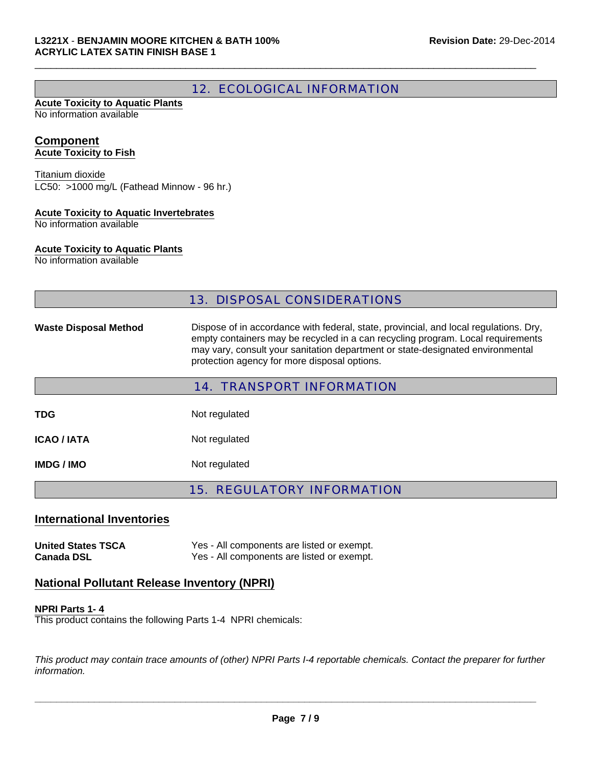# 12. ECOLOGICAL INFORMATION

 $\Box$ 

#### **Acute Toxicity to Aquatic Plants** No information available

#### **Component Acute Toxicity to Fish**

LC50: >1000 mg/L (Fathead Minnow - 96 hr.) Titanium dioxide

### **Acute Toxicity to Aquatic Invertebrates**

No information available

#### **Acute Toxicity to Aquatic Plants**

No information available

### 13. DISPOSAL CONSIDERATIONS

Waste Disposal Method Dispose of in accordance with federal, state, provincial, and local regulations. Dry, empty containers may be recycled in a can recycling program. Local requirements may vary, consult your sanitation department or state-designated environmental protection agency for more disposal options.

|                    | <b>14. TRANSPORT INFORMATION</b> |
|--------------------|----------------------------------|
| TDG                | Not regulated                    |
|                    |                                  |
| <b>ICAO / IATA</b> | Not regulated                    |
| IMDG / IMO         | Not regulated                    |
|                    |                                  |

15. REGULATORY INFORMATION

# **International Inventories**

**United States TSCA** Yes - All components are listed or exempt. **Canada DSL** Yes - All components are listed or exempt.

### **National Pollutant Release Inventory (NPRI)**

#### **NPRI Parts 1- 4**

This product contains the following Parts 1-4 NPRI chemicals:

*This product may contain trace amounts of (other) NPRI Parts I-4 reportable chemicals. Contact the preparer for further information.*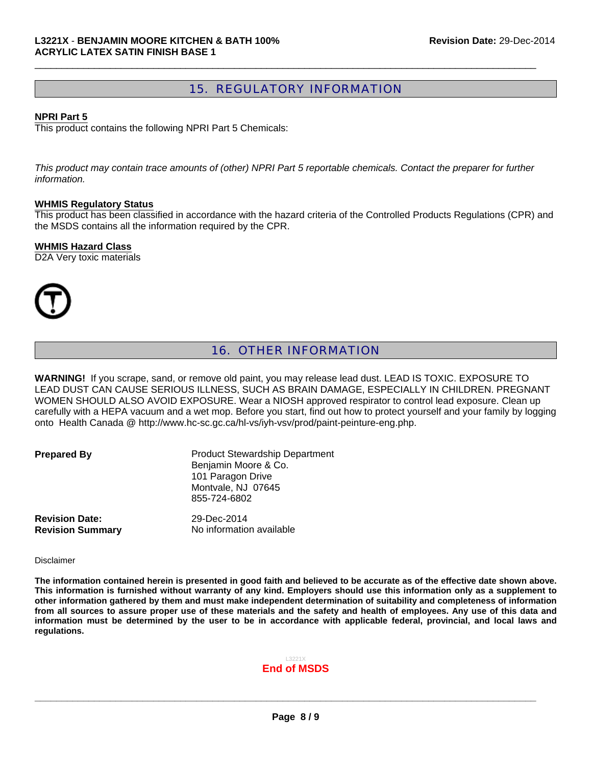## 15. REGULATORY INFORMATION

 $\Box$ 

#### **NPRI Part 5**

This product contains the following NPRI Part 5 Chemicals:

*This product may contain trace amounts of (other) NPRI Part 5 reportable chemicals. Contact the preparer for further information.*

#### **WHMIS Regulatory Status**

This product has been classified in accordance with the hazard criteria of the Controlled Products Regulations (CPR) and the MSDS contains all the information required by the CPR.

#### **WHMIS Hazard Class**

D2A Very toxic materials



# 16. OTHER INFORMATION

**WARNING!** If you scrape, sand, or remove old paint, you may release lead dust. LEAD IS TOXIC. EXPOSURE TO LEAD DUST CAN CAUSE SERIOUS ILLNESS, SUCH AS BRAIN DAMAGE, ESPECIALLY IN CHILDREN. PREGNANT WOMEN SHOULD ALSO AVOID EXPOSURE. Wear a NIOSH approved respirator to control lead exposure. Clean up carefully with a HEPA vacuum and a wet mop. Before you start, find out how to protect yourself and your family by logging onto Health Canada @ http://www.hc-sc.gc.ca/hl-vs/iyh-vsv/prod/paint-peinture-eng.php.

**Product Stewardship Department** Benjamin Moore & Co. 101 Paragon Drive Montvale, NJ 07645 855-724-6802

**Revision Date:** 29-Dec-2014

**Revision Summary** No information available

#### Disclaimer

**The information contained herein is presented in good faith and believed to be accurate as of the effective date shown above. This information is furnished without warranty of any kind. Employers should use this information only as a supplement to other information gathered by them and must make independent determination of suitability and completeness of information from all sources to assure proper use of these materials and the safety and health of employees. Any use of this data and information must be determined by the user to be in accordance with applicable federal, provincial, and local laws and regulations.**